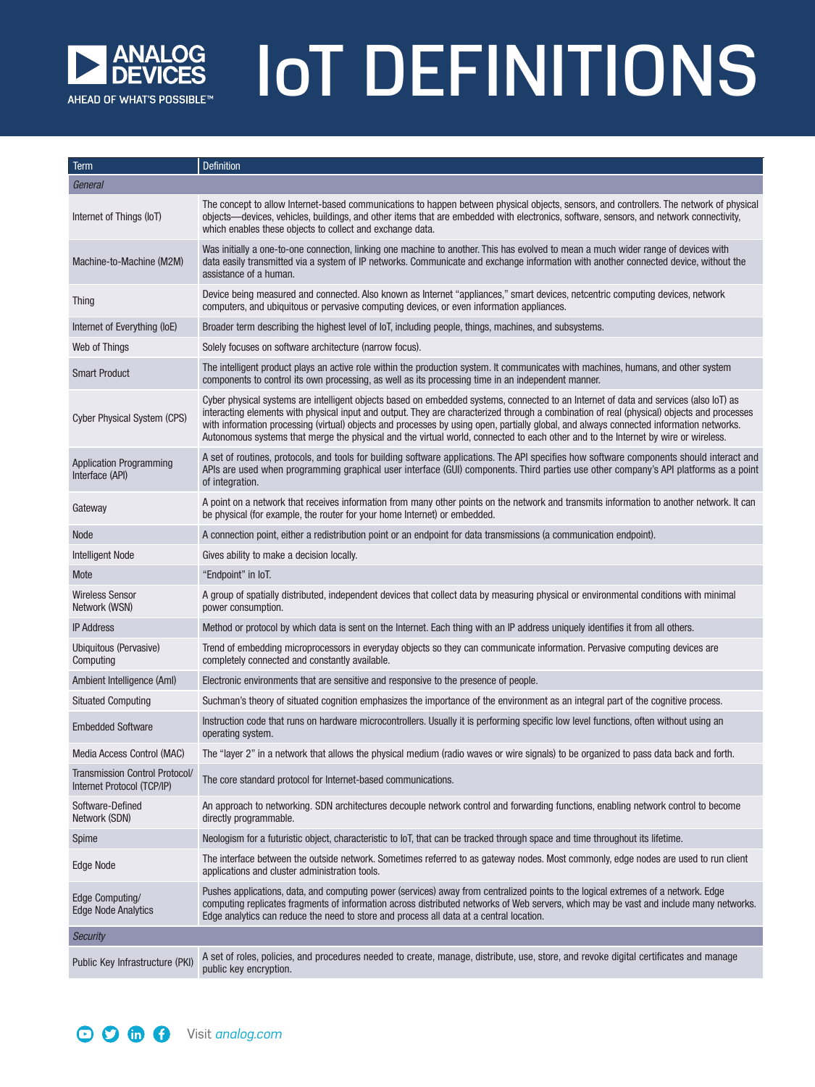

## IoT DEFINITIONS

| Term                                                         | <b>Definition</b>                                                                                                                                                                                                                                                                                                                                                                                                                                                                                                                                                    |
|--------------------------------------------------------------|----------------------------------------------------------------------------------------------------------------------------------------------------------------------------------------------------------------------------------------------------------------------------------------------------------------------------------------------------------------------------------------------------------------------------------------------------------------------------------------------------------------------------------------------------------------------|
| General                                                      |                                                                                                                                                                                                                                                                                                                                                                                                                                                                                                                                                                      |
| Internet of Things (IoT)                                     | The concept to allow Internet-based communications to happen between physical objects, sensors, and controllers. The network of physical<br>objects—devices, vehicles, buildings, and other items that are embedded with electronics, software, sensors, and network connectivity,<br>which enables these objects to collect and exchange data.                                                                                                                                                                                                                      |
| Machine-to-Machine (M2M)                                     | Was initially a one-to-one connection, linking one machine to another. This has evolved to mean a much wider range of devices with<br>data easily transmitted via a system of IP networks. Communicate and exchange information with another connected device, without the<br>assistance of a human.                                                                                                                                                                                                                                                                 |
| <b>Thing</b>                                                 | Device being measured and connected. Also known as Internet "appliances," smart devices, netcentric computing devices, network<br>computers, and ubiquitous or pervasive computing devices, or even information appliances.                                                                                                                                                                                                                                                                                                                                          |
| Internet of Everything (IoE)                                 | Broader term describing the highest level of loT, including people, things, machines, and subsystems.                                                                                                                                                                                                                                                                                                                                                                                                                                                                |
| Web of Things                                                | Solely focuses on software architecture (narrow focus).                                                                                                                                                                                                                                                                                                                                                                                                                                                                                                              |
| <b>Smart Product</b>                                         | The intelligent product plays an active role within the production system. It communicates with machines, humans, and other system<br>components to control its own processing, as well as its processing time in an independent manner.                                                                                                                                                                                                                                                                                                                             |
| <b>Cyber Physical System (CPS)</b>                           | Cyber physical systems are intelligent objects based on embedded systems, connected to an Internet of data and services (also loT) as<br>interacting elements with physical input and output. They are characterized through a combination of real (physical) objects and processes<br>with information processing (virtual) objects and processes by using open, partially global, and always connected information networks.<br>Autonomous systems that merge the physical and the virtual world, connected to each other and to the Internet by wire or wireless. |
| <b>Application Programming</b><br>Interface (API)            | A set of routines, protocols, and tools for building software applications. The API specifies how software components should interact and<br>APIs are used when programming graphical user interface (GUI) components. Third parties use other company's API platforms as a point<br>of integration.                                                                                                                                                                                                                                                                 |
| Gateway                                                      | A point on a network that receives information from many other points on the network and transmits information to another network. It can<br>be physical (for example, the router for your home Internet) or embedded.                                                                                                                                                                                                                                                                                                                                               |
| <b>Node</b>                                                  | A connection point, either a redistribution point or an endpoint for data transmissions (a communication endpoint).                                                                                                                                                                                                                                                                                                                                                                                                                                                  |
| <b>Intelligent Node</b>                                      | Gives ability to make a decision locally.                                                                                                                                                                                                                                                                                                                                                                                                                                                                                                                            |
| Mote                                                         | "Endpoint" in IoT.                                                                                                                                                                                                                                                                                                                                                                                                                                                                                                                                                   |
| <b>Wireless Sensor</b><br>Network (WSN)                      | A group of spatially distributed, independent devices that collect data by measuring physical or environmental conditions with minimal<br>power consumption.                                                                                                                                                                                                                                                                                                                                                                                                         |
| <b>IP Address</b>                                            | Method or protocol by which data is sent on the Internet. Each thing with an IP address uniquely identifies it from all others.                                                                                                                                                                                                                                                                                                                                                                                                                                      |
| Ubiquitous (Pervasive)<br>Computing                          | Trend of embedding microprocessors in everyday objects so they can communicate information. Pervasive computing devices are<br>completely connected and constantly available.                                                                                                                                                                                                                                                                                                                                                                                        |
| Ambient Intelligence (AmI)                                   | Electronic environments that are sensitive and responsive to the presence of people.                                                                                                                                                                                                                                                                                                                                                                                                                                                                                 |
| <b>Situated Computing</b>                                    | Suchman's theory of situated cognition emphasizes the importance of the environment as an integral part of the cognitive process.                                                                                                                                                                                                                                                                                                                                                                                                                                    |
| <b>Embedded Software</b>                                     | Instruction code that runs on hardware microcontrollers. Usually it is performing specific low level functions, often without using an<br>operating system.                                                                                                                                                                                                                                                                                                                                                                                                          |
| Media Access Control (MAC)                                   | The "layer 2" in a network that allows the physical medium (radio waves or wire signals) to be organized to pass data back and forth.                                                                                                                                                                                                                                                                                                                                                                                                                                |
| Transmission Control Protocol/<br>Internet Protocol (TCP/IP) | The core standard protocol for Internet-based communications.                                                                                                                                                                                                                                                                                                                                                                                                                                                                                                        |
| Software-Defined<br>Network (SDN)                            | An approach to networking. SDN architectures decouple network control and forwarding functions, enabling network control to become<br>directly programmable.                                                                                                                                                                                                                                                                                                                                                                                                         |
| Spime                                                        | Neologism for a futuristic object, characteristic to loT, that can be tracked through space and time throughout its lifetime.                                                                                                                                                                                                                                                                                                                                                                                                                                        |
| <b>Edge Node</b>                                             | The interface between the outside network. Sometimes referred to as gateway nodes. Most commonly, edge nodes are used to run client<br>applications and cluster administration tools.                                                                                                                                                                                                                                                                                                                                                                                |
| Edge Computing/<br><b>Edge Node Analytics</b>                | Pushes applications, data, and computing power (services) away from centralized points to the logical extremes of a network. Edge<br>computing replicates fragments of information across distributed networks of Web servers, which may be vast and include many networks.<br>Edge analytics can reduce the need to store and process all data at a central location.                                                                                                                                                                                               |
| <b>Security</b>                                              |                                                                                                                                                                                                                                                                                                                                                                                                                                                                                                                                                                      |
| Public Key Infrastructure (PKI)                              | A set of roles, policies, and procedures needed to create, manage, distribute, use, store, and revoke digital certificates and manage<br>public key encryption.                                                                                                                                                                                                                                                                                                                                                                                                      |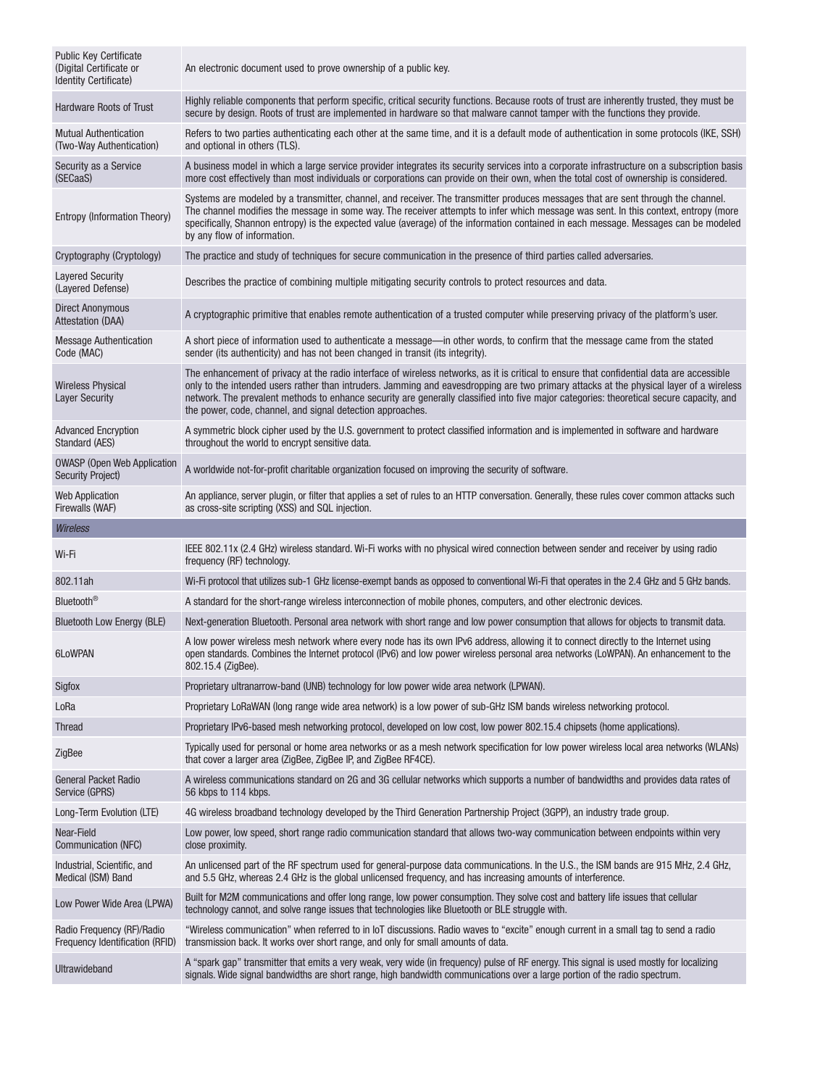| <b>Public Key Certificate</b><br>(Digital Certificate or<br>Identity Certificate) | An electronic document used to prove ownership of a public key.                                                                                                                                                                                                                                                                                                                                                                                                                                |
|-----------------------------------------------------------------------------------|------------------------------------------------------------------------------------------------------------------------------------------------------------------------------------------------------------------------------------------------------------------------------------------------------------------------------------------------------------------------------------------------------------------------------------------------------------------------------------------------|
| Hardware Roots of Trust                                                           | Highly reliable components that perform specific, critical security functions. Because roots of trust are inherently trusted, they must be<br>secure by design. Roots of trust are implemented in hardware so that malware cannot tamper with the functions they provide.                                                                                                                                                                                                                      |
| <b>Mutual Authentication</b><br>(Two-Way Authentication)                          | Refers to two parties authenticating each other at the same time, and it is a default mode of authentication in some protocols (IKE, SSH)<br>and optional in others (TLS).                                                                                                                                                                                                                                                                                                                     |
| Security as a Service<br>(SECaaS)                                                 | A business model in which a large service provider integrates its security services into a corporate infrastructure on a subscription basis<br>more cost effectively than most individuals or corporations can provide on their own, when the total cost of ownership is considered.                                                                                                                                                                                                           |
| Entropy (Information Theory)                                                      | Systems are modeled by a transmitter, channel, and receiver. The transmitter produces messages that are sent through the channel.<br>The channel modifies the message in some way. The receiver attempts to infer which message was sent. In this context, entropy (more<br>specifically, Shannon entropy) is the expected value (average) of the information contained in each message. Messages can be modeled<br>by any flow of information.                                                |
| Cryptography (Cryptology)                                                         | The practice and study of techniques for secure communication in the presence of third parties called adversaries.                                                                                                                                                                                                                                                                                                                                                                             |
| <b>Layered Security</b><br>(Layered Defense)                                      | Describes the practice of combining multiple mitigating security controls to protect resources and data.                                                                                                                                                                                                                                                                                                                                                                                       |
| <b>Direct Anonymous</b><br><b>Attestation (DAA)</b>                               | A cryptographic primitive that enables remote authentication of a trusted computer while preserving privacy of the platform's user.                                                                                                                                                                                                                                                                                                                                                            |
| <b>Message Authentication</b><br>Code (MAC)                                       | A short piece of information used to authenticate a message—in other words, to confirm that the message came from the stated<br>sender (its authenticity) and has not been changed in transit (its integrity).                                                                                                                                                                                                                                                                                 |
| <b>Wireless Physical</b><br><b>Layer Security</b>                                 | The enhancement of privacy at the radio interface of wireless networks, as it is critical to ensure that confidential data are accessible<br>only to the intended users rather than intruders. Jamming and eavesdropping are two primary attacks at the physical layer of a wireless<br>network. The prevalent methods to enhance security are generally classified into five major categories: theoretical secure capacity, and<br>the power, code, channel, and signal detection approaches. |
| <b>Advanced Encryption</b><br>Standard (AES)                                      | A symmetric block cipher used by the U.S. government to protect classified information and is implemented in software and hardware<br>throughout the world to encrypt sensitive data.                                                                                                                                                                                                                                                                                                          |
| <b>OWASP</b> (Open Web Application<br><b>Security Project)</b>                    | A worldwide not-for-profit charitable organization focused on improving the security of software.                                                                                                                                                                                                                                                                                                                                                                                              |
| <b>Web Application</b><br>Firewalls (WAF)                                         | An appliance, server plugin, or filter that applies a set of rules to an HTTP conversation. Generally, these rules cover common attacks such<br>as cross-site scripting (XSS) and SQL injection.                                                                                                                                                                                                                                                                                               |
|                                                                                   |                                                                                                                                                                                                                                                                                                                                                                                                                                                                                                |
| <b>Wireless</b>                                                                   |                                                                                                                                                                                                                                                                                                                                                                                                                                                                                                |
| Wi-Fi                                                                             | IEEE 802.11x (2.4 GHz) wireless standard. Wi-Fi works with no physical wired connection between sender and receiver by using radio<br>frequency (RF) technology.                                                                                                                                                                                                                                                                                                                               |
| 802.11ah                                                                          | Wi-Fi protocol that utilizes sub-1 GHz license-exempt bands as opposed to conventional Wi-Fi that operates in the 2.4 GHz and 5 GHz bands.                                                                                                                                                                                                                                                                                                                                                     |
| Bluetooth®                                                                        | A standard for the short-range wireless interconnection of mobile phones, computers, and other electronic devices.                                                                                                                                                                                                                                                                                                                                                                             |
| <b>Bluetooth Low Energy (BLE)</b>                                                 | Next-generation Bluetooth. Personal area network with short range and low power consumption that allows for objects to transmit data.                                                                                                                                                                                                                                                                                                                                                          |
| 6LoWPAN                                                                           | A low power wireless mesh network where every node has its own IPv6 address, allowing it to connect directly to the Internet using<br>open standards. Combines the Internet protocol (IPv6) and low power wireless personal area networks (LoWPAN). An enhancement to the<br>802.15.4 (ZigBee).                                                                                                                                                                                                |
| Sigfox                                                                            | Proprietary ultranarrow-band (UNB) technology for low power wide area network (LPWAN).                                                                                                                                                                                                                                                                                                                                                                                                         |
| LoRa                                                                              | Proprietary LoRaWAN (long range wide area network) is a low power of sub-GHz ISM bands wireless networking protocol.                                                                                                                                                                                                                                                                                                                                                                           |
| <b>Thread</b>                                                                     | Proprietary IPv6-based mesh networking protocol, developed on low cost, low power 802.15.4 chipsets (home applications).                                                                                                                                                                                                                                                                                                                                                                       |
| ZigBee                                                                            | Typically used for personal or home area networks or as a mesh network specification for low power wireless local area networks (WLANs)<br>that cover a larger area (ZigBee, ZigBee IP, and ZigBee RF4CE).                                                                                                                                                                                                                                                                                     |
| <b>General Packet Radio</b><br>Service (GPRS)                                     | A wireless communications standard on 2G and 3G cellular networks which supports a number of bandwidths and provides data rates of<br>56 kbps to 114 kbps.                                                                                                                                                                                                                                                                                                                                     |
| Long-Term Evolution (LTE)                                                         | 4G wireless broadband technology developed by the Third Generation Partnership Project (3GPP), an industry trade group.                                                                                                                                                                                                                                                                                                                                                                        |
| Near-Field<br>Communication (NFC)                                                 | Low power, low speed, short range radio communication standard that allows two-way communication between endpoints within very<br>close proximity.                                                                                                                                                                                                                                                                                                                                             |
| Industrial, Scientific, and<br>Medical (ISM) Band                                 | An unlicensed part of the RF spectrum used for general-purpose data communications. In the U.S., the ISM bands are 915 MHz, 2.4 GHz,<br>and 5.5 GHz, whereas 2.4 GHz is the global unlicensed frequency, and has increasing amounts of interference.                                                                                                                                                                                                                                           |
| Low Power Wide Area (LPWA)                                                        | Built for M2M communications and offer long range, low power consumption. They solve cost and battery life issues that cellular<br>technology cannot, and solve range issues that technologies like Bluetooth or BLE struggle with.                                                                                                                                                                                                                                                            |
| Radio Frequency (RF)/Radio<br>Frequency Identification (RFID)                     | "Wireless communication" when referred to in IoT discussions. Radio waves to "excite" enough current in a small tag to send a radio<br>transmission back. It works over short range, and only for small amounts of data.                                                                                                                                                                                                                                                                       |